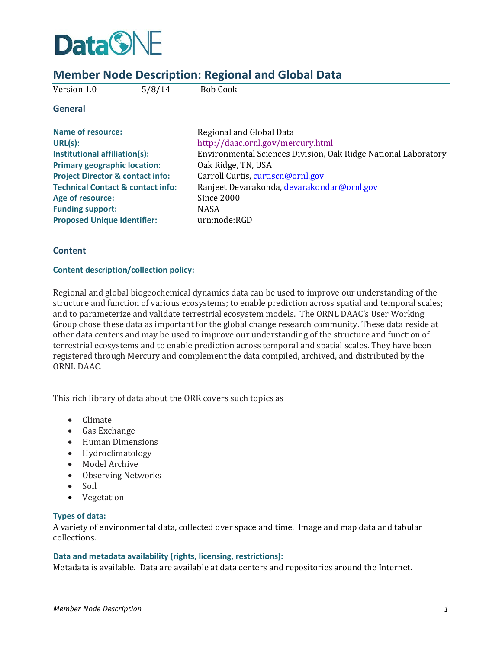

# **Member Node Description: Regional and Global Data**

Version 1.0 5/8/14 Bob Cook

# **General**

| <b>Name of resource:</b>                     | Regio       |
|----------------------------------------------|-------------|
| URL(s):                                      | http:/      |
| Institutional affiliation(s):                | Envir       |
| <b>Primary geographic location:</b>          | Oak R       |
| <b>Project Director &amp; contact info:</b>  | Carro       |
| <b>Technical Contact &amp; contact info:</b> | Ranje       |
| Age of resource:                             | Since       |
| <b>Funding support:</b>                      | <b>NASA</b> |
| <b>Proposed Unique Identifier:</b>           | urn:n       |

**Name of resource:** Regional and Global Data **URL(s):** <http://daac.ornl.gov/mercury.html> **Institutional affiliation(s):** Environmental Sciences Division, Oak Ridge National Laboratory **Primary geographic location:** Oak Ridge, TN, USA Carroll Curtis, [curtiscn@ornl.gov](mailto:curtiscn@ornl.gov) **Technical Contact & contact info:** Ranjeet Devarakonda[, devarakondar@ornl.gov](mailto:devarakondar@ornl.gov) Since 2000<br>NASA **Proposed Unique Identifier:** urn:node:RGD

# **Content**

#### **Content description/collection policy:**

Regional and global biogeochemical dynamics data can be used to improve our understanding of the structure and function of various ecosystems; to enable prediction across spatial and temporal scales; and to parameterize and validate terrestrial ecosystem models. The ORNL DAAC's User Working Group chose these data as important for the global change research community. These data reside at other data centers and may be used to improve our understanding of the structure and function of terrestrial ecosystems and to enable prediction across temporal and spatial scales. They have been registered through Mercury and complement the data compiled, archived, and distributed by the ORNL DAAC.

This rich library of data about the ORR covers such topics as

- Climate
- Gas Exchange
- Human Dimensions
- Hydroclimatology
- Model Archive
- Observing Networks
- Soil
- Vegetation

#### **Types of data:**

A variety of environmental data, collected over space and time. Image and map data and tabular collections.

## **Data and metadata availability (rights, licensing, restrictions):**

Metadata is available. Data are available at data centers and repositories around the Internet.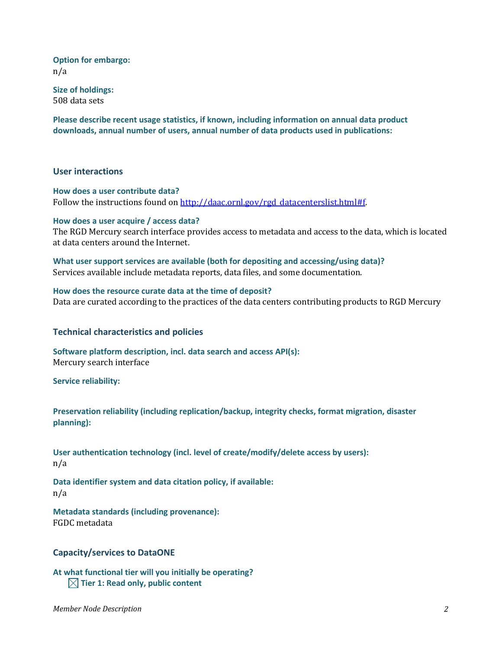**Option for embargo:**  n/a

**Size of holdings:**  508 data sets

**Please describe recent usage statistics, if known, including information on annual data product downloads, annual number of users, annual number of data products used in publications:** 

**User interactions** 

**How does a user contribute data?**  Follow the instructions found on [http://daac.ornl.gov/rgd\\_datacenterslist.html#f.](http://daac.ornl.gov/rgd_datacenterslist.html%23f)

#### **How does a user acquire / access data?**

The RGD Mercury search interface provides access to metadata and access to the data, which is located at data centers around the Internet.

**What user support services are available (both for depositing and accessing/using data)?** Services available include metadata reports, data files, and some documentation.

#### **How does the resource curate data at the time of deposit?**

Data are curated according to the practices of the data centers contributing products to RGD Mercury

## **Technical characteristics and policies**

**Software platform description, incl. data search and access API(s):** 

Mercury search interface

**Service reliability:** 

**Preservation reliability (including replication/backup, integrity checks, format migration, disaster planning):** 

**User authentication technology (incl. level of create/modify/delete access by users):**  n/a

**Data identifier system and data citation policy, if available:** n/a

**Metadata standards (including provenance):**  FGDC metadata

## **Capacity/services to DataONE**

**At what functional tier will you initially be operating? Tier 1: Read only, public content**